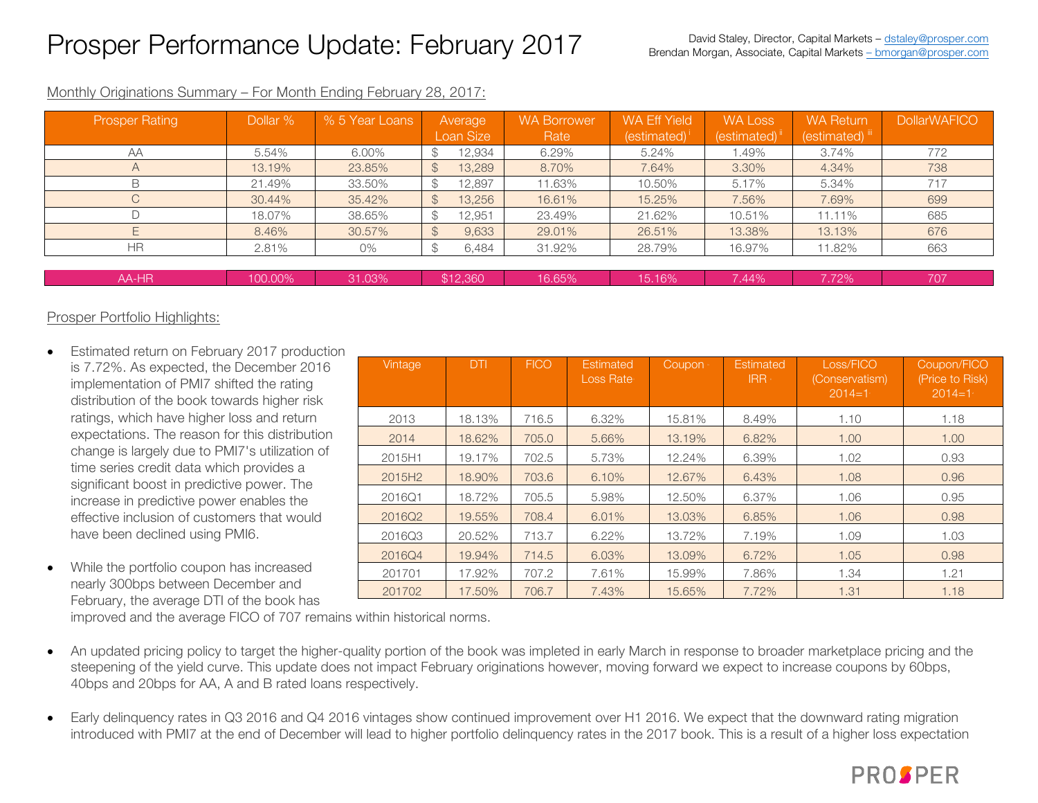## Prosper Performance Update: February 2017

| <b>Prosper Rating</b> | Dollar % | % 5 Year Loans | Average                 | <b>WA Borrower</b> | WA Eff Yield      | WA Loss     | <b>WA Return</b> | <b>DollarWAFICO</b> |
|-----------------------|----------|----------------|-------------------------|--------------------|-------------------|-------------|------------------|---------------------|
|                       |          |                | Loan Size               | Rate               | $(estimated)^{i}$ | (estimated) | (estimated) iii  |                     |
| AA                    | 5.54%    | 6.00%          | 12,934<br>\$            | 6.29%              | 5.24%             | .49%        | 3.74%            | 772                 |
| $\overline{A}$        | 13.19%   | 23.85%         | $\mathcal{L}$<br>13,289 | 8.70%              | 7.64%             | 3.30%       | 4.34%            | 738                 |
| B                     | 21.49%   | 33.50%         | 12,897<br>$\mathcal{F}$ | 11.63%             | 10.50%            | 5.17%       | 5.34%            | 717                 |
|                       | 30.44%   | 35.42%         | 13,256<br>$\mathcal{F}$ | 16.61%             | 15.25%            | 7.56%       | 7.69%            | 699                 |
|                       | 18.07%   | 38.65%         | 12,951<br>$\mathcal{L}$ | 23.49%             | 21.62%            | 10.51%      | 11.11%           | 685                 |
|                       | 8.46%    | 30.57%         | 9,633<br>$\mathcal{S}$  | 29.01%             | 26.51%            | 13.38%      | 13.13%           | 676                 |
| <b>HR</b>             | 2.81%    | 0%             | 6,484<br>$\mathcal{S}$  | 31.92%             | 28.79%            | 16.97%      | 11.82%           | 663                 |
|                       |          |                |                         |                    |                   |             |                  |                     |
| AA-HR                 | 100.00%  | 31.03%         | \$12,360                | 16.65%             | 15.16%            | 7.44%       | 7.72%            | 707                 |

#### Monthly Originations Summary – For Month Ending February 28, 2017:

### Prosper Portfolio Highlights:

- Estimated return on February 2017 production is 7.72%. As expected, the December 2016 implementation of PMI7 shifted the rating distribution of the book towards higher risk ratings, which have higher loss and return expectations. The reason for this distribution change is largely due to PMI7's utilization of time series credit data which provides a significant boost in predictive power. The increase in predictive power enables the effective inclusion of customers that would have been declined using PMI6.
- While the portfolio coupon has increased nearly 300bps between December and February, the average DTI of the book has

| Vintage            | <b>DTI</b> | <b>FICO</b> | Estimated<br><b>Loss Rate</b> | Coupon | <b>Estimated</b><br><b>IRR</b> | Loss/FICO<br>(Conservatism)<br>$2014 = 1$ | Coupon/FICO<br>(Price to Risk)<br>$2014 = 1$ |
|--------------------|------------|-------------|-------------------------------|--------|--------------------------------|-------------------------------------------|----------------------------------------------|
| 2013               | 18.13%     | 716.5       | 6.32%                         | 15.81% | 8.49%                          | 1.10                                      | 1.18                                         |
| 2014               | 18.62%     | 705.0       | 5.66%                         | 13.19% | 6.82%                          | 1.00                                      | 1.00                                         |
| 2015H1             | 19.17%     | 702.5       | 5.73%                         | 12.24% | 6.39%                          | 1.02                                      | 0.93                                         |
| 2015H <sub>2</sub> | 18.90%     | 703.6       | 6.10%                         | 12.67% | 6.43%                          | 1.08                                      | 0.96                                         |
| 2016Q1             | 18.72%     | 705.5       | 5.98%                         | 12.50% | 6.37%                          | 1.06                                      | 0.95                                         |
| 2016Q2             | 19.55%     | 708.4       | 6.01%                         | 13.03% | 6.85%                          | 1.06                                      | 0.98                                         |
| 2016Q3             | 20.52%     | 713.7       | 6.22%                         | 13.72% | 7.19%                          | 1.09                                      | 1.03                                         |
| 2016Q4             | 19.94%     | 714.5       | 6.03%                         | 13.09% | 6.72%                          | 1.05                                      | 0.98                                         |
| 201701             | 17.92%     | 707.2       | 7.61%                         | 15.99% | 7.86%                          | 1.34                                      | 1.21                                         |
| 201702             | 17.50%     | 706.7       | 7.43%                         | 15.65% | 7.72%                          | 1.31                                      | 1.18                                         |

improved and the average FICO of 707 remains within historical norms.

- An updated pricing policy to target the higher-quality portion of the book was impleted in early March in response to broader marketplace pricing and the steepening of the yield curve. This update does not impact February originations however, moving forward we expect to increase coupons by 60bps, 40bps and 20bps for AA, A and B rated loans respectively.
- Early delinguency rates in Q3 2016 and Q4 2016 vintages show continued improvement over H1 2016. We expect that the downward rating migration introduced with PMI7 at the end of December will lead to higher portfolio delinquency rates in the 2017 book. This is a result of a higher loss expectation

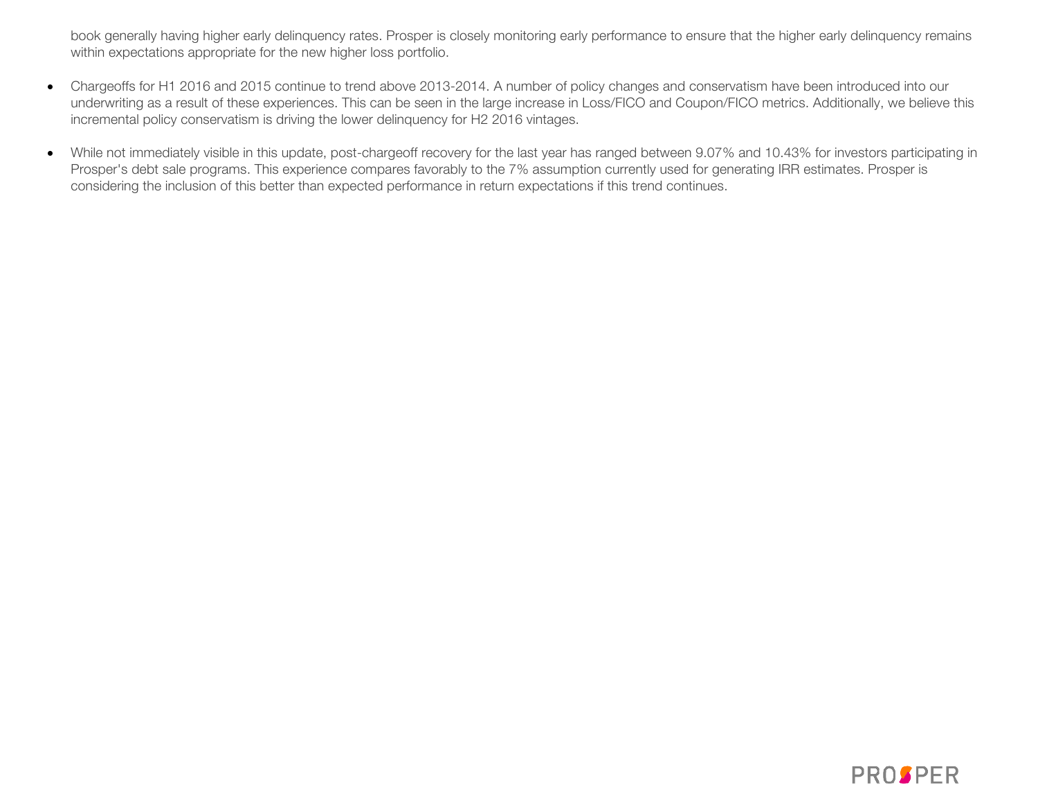book generally having higher early delinquency rates. Prosper is closely monitoring early performance to ensure that the higher early delinquency remains within expectations appropriate for the new higher loss portfolio.

- Chargeoffs for H1 2016 and 2015 continue to trend above 2013-2014. A number of policy changes and conservatism have been introduced into our underwriting as a result of these experiences. This can be seen in the large increase in Loss/FICO and Coupon/FICO metrics. Additionally, we believe this incremental policy conservatism is driving the lower delinquency for H2 2016 vintages.
- While not immediately visible in this update, post-chargeoff recovery for the last year has ranged between 9.07% and 10.43% for investors participating in Prosper's debt sale programs. This experience compares favorably to the 7% assumption currently used for generating IRR estimates. Prosper is considering the inclusion of this better than expected performance in return expectations if this trend continues.

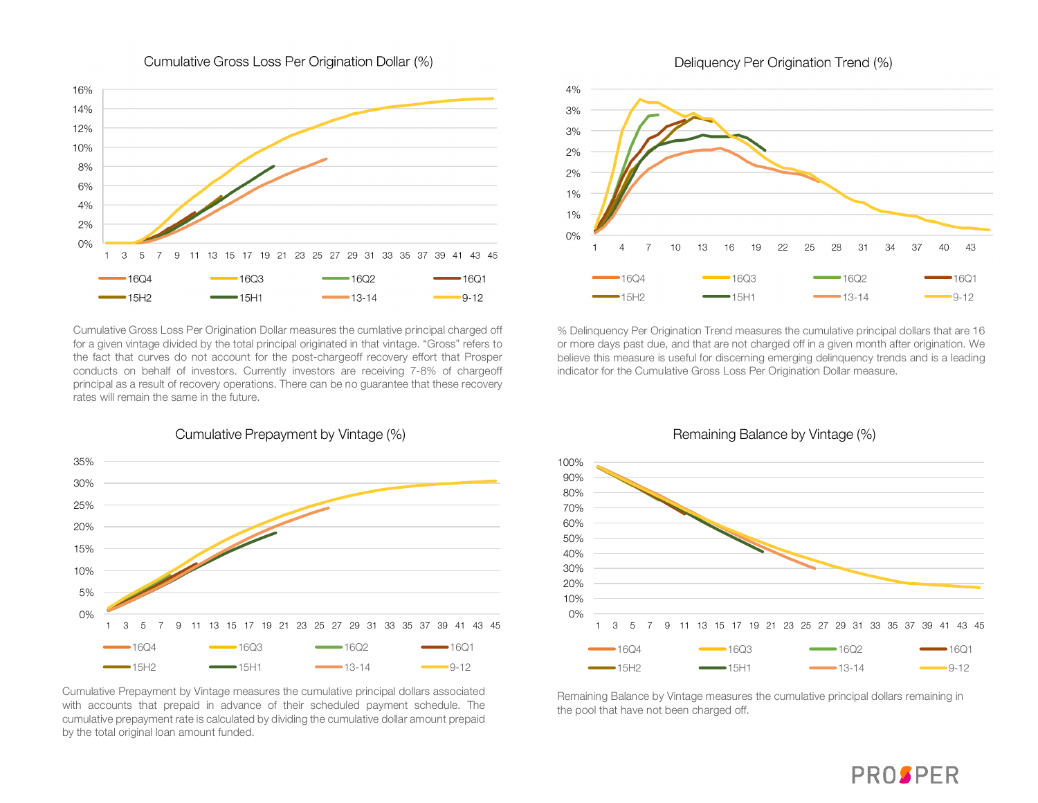

Cumulative Gross Loss Per Origination Dollar (%)



<sup>15H1</sup>

 $4%$ 

3%

 $-15H2$ 

Cumulative Gross Loss Per Origination Dollar measures the cumlative principal charged off for a given vintage divided by the total principal originated in that vintage. "Gross" refers to the fact that curves do not account for the post-chargeoff recovery effort that Prosper conducts on behalf of investors. Currently investors are receiving 7-8% of chargeoff principal as a result of recovery operations. There can be no guarantee that these recovery rates will remain the same in the future.

% Delinquency Per Origination Trend measures the cumulative principal dollars that are 16 or more days past due, and that are not charged off in a given month after origination. We believe this measure is useful for discerning emerging delinquency trends and is a leading indicator for the Cumulative Gross Loss Per Origination Dollar measure.



Cumulative Prepayment by Vintage (%)

Cumulative Prepayment by Vintage measures the cumulative principal dollars associated with accounts that prepaid in advance of their scheduled payment schedule. The cumulative prepayment rate is calculated by dividing the cumulative dollar amount prepaid by the total original loan amount funded.

## Remaining Balance by Vintage (%)



Remaining Balance by Vintage measures the cumulative principal dollars remaining in the pool that have not been charged off.

## Deliquency Per Origination Trend (%)

 $-13-14$ 



 $-9 - 12$